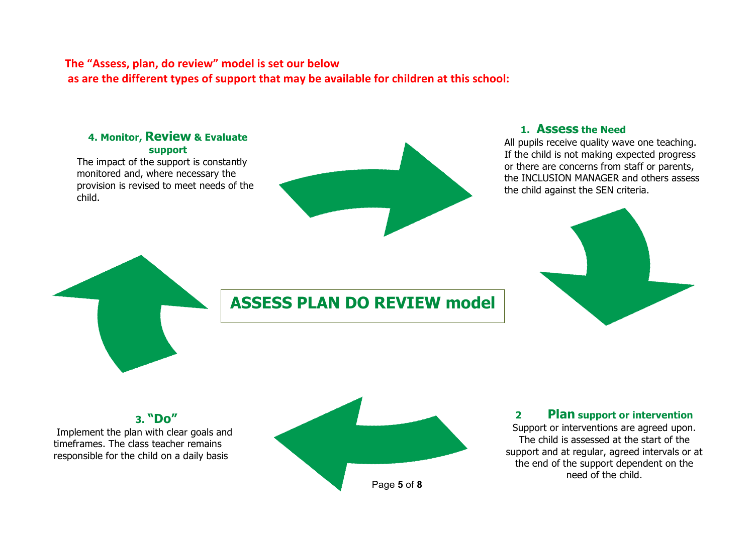## The "Assess, plan, do review" model is set our below as are the different types of support that may be available for children at this school:

# **1. Assess the Need** All pupils receive quality wave one teaching. If the child is not making expected progress or there are concerns from staff or parents, the INCLUSION MANAGER and others assess the child against the SEN criteria. **4. Monitor, Review & Evaluate support** The impact of the support is constantly monitored and, where necessary the provision is revised to meet needs of the child. **ASSESS PLAN DO REVIEW model**

## **3. "Do"**

Implement the plan with clear goals and timeframes. The class teacher remains responsible for the child on a daily basis



#### **2 Plan support or intervention**

Support or interventions are agreed upon. The child is assessed at the start of the support and at regular, agreed intervals or at the end of the support dependent on the need of the child.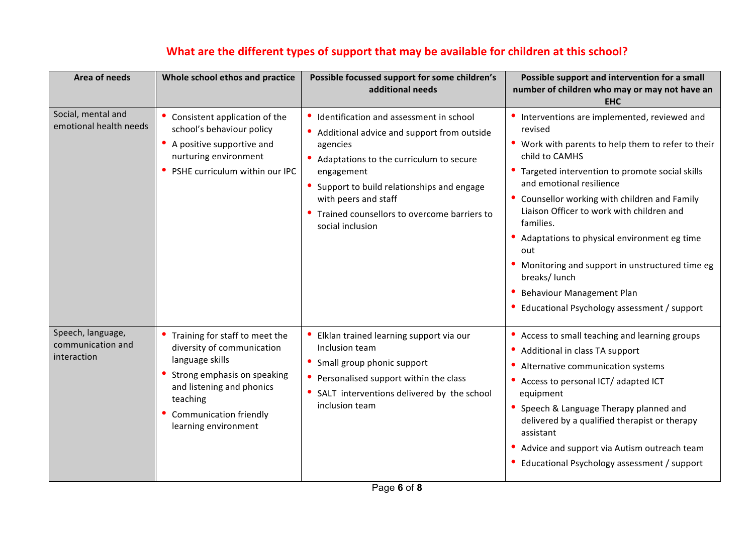| Area of needs                                         | Whole school ethos and practice                                                                                                                                                                                  | Possible focussed support for some children's<br>additional needs                                                                                                                                                                                                                                  | Possible support and intervention for a small<br>number of children who may or may not have an                                                                                                                                                                                                                                                                                                                                                                                                                          |
|-------------------------------------------------------|------------------------------------------------------------------------------------------------------------------------------------------------------------------------------------------------------------------|----------------------------------------------------------------------------------------------------------------------------------------------------------------------------------------------------------------------------------------------------------------------------------------------------|-------------------------------------------------------------------------------------------------------------------------------------------------------------------------------------------------------------------------------------------------------------------------------------------------------------------------------------------------------------------------------------------------------------------------------------------------------------------------------------------------------------------------|
|                                                       |                                                                                                                                                                                                                  |                                                                                                                                                                                                                                                                                                    | <b>EHC</b>                                                                                                                                                                                                                                                                                                                                                                                                                                                                                                              |
| Social, mental and<br>emotional health needs          | Consistent application of the<br>school's behaviour policy<br>A positive supportive and<br>nurturing environment<br>PSHE curriculum within our IPC                                                               | Identification and assessment in school<br>Additional advice and support from outside<br>agencies<br>Adaptations to the curriculum to secure<br>engagement<br>Support to build relationships and engage<br>with peers and staff<br>Trained counsellors to overcome barriers to<br>social inclusion | Interventions are implemented, reviewed and<br>revised<br>Work with parents to help them to refer to their<br>child to CAMHS<br>Targeted intervention to promote social skills<br>and emotional resilience<br>Counsellor working with children and Family<br>Liaison Officer to work with children and<br>families.<br>Adaptations to physical environment eg time<br>out<br>Monitoring and support in unstructured time eg<br>breaks/lunch<br>Behaviour Management Plan<br>Educational Psychology assessment / support |
| Speech, language,<br>communication and<br>interaction | Training for staff to meet the<br>diversity of communication<br>language skills<br>Strong emphasis on speaking<br>and listening and phonics<br>teaching<br><b>Communication friendly</b><br>learning environment | Elklan trained learning support via our<br>Inclusion team<br>Small group phonic support<br>Personalised support within the class<br>SALT interventions delivered by the school<br>inclusion team                                                                                                   | $\bullet$<br>Access to small teaching and learning groups<br>Additional in class TA support<br>Alternative communication systems<br>Access to personal ICT/ adapted ICT<br>equipment<br>Speech & Language Therapy planned and<br>delivered by a qualified therapist or therapy<br>assistant<br>Advice and support via Autism outreach team<br>Educational Psychology assessment / support                                                                                                                               |

# What are the different types of support that may be available for children at this school?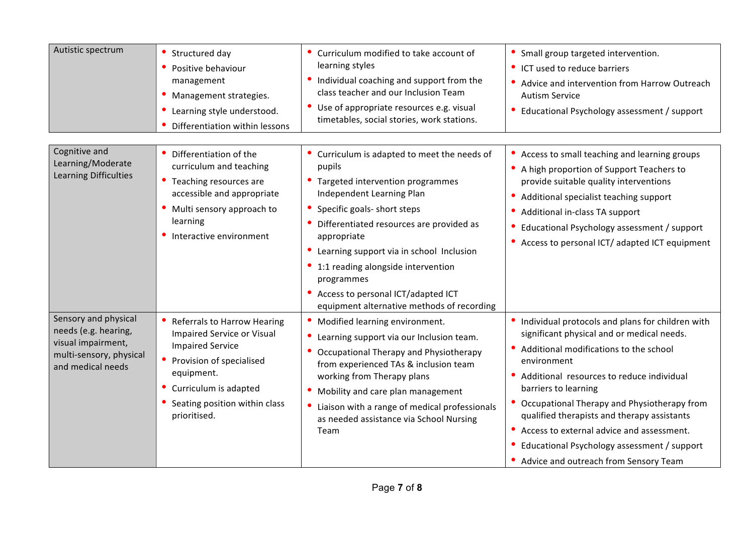| Autistic spectrum                                                                                                  | Structured day<br>Positive behaviour<br>management<br>Management strategies.<br>Learning style understood.<br>Differentiation within lessons                                                                    | Curriculum modified to take account of<br>learning styles<br>Individual coaching and support from the<br>class teacher and our Inclusion Team<br>Use of appropriate resources e.g. visual<br>timetables, social stories, work stations.                                                                                                                                                                                | Small group targeted intervention.<br>• ICT used to reduce barriers<br>Advice and intervention from Harrow Outreach<br><b>Autism Service</b><br>Educational Psychology assessment / support                                                                                                                                                                                                                                                                       |
|--------------------------------------------------------------------------------------------------------------------|-----------------------------------------------------------------------------------------------------------------------------------------------------------------------------------------------------------------|------------------------------------------------------------------------------------------------------------------------------------------------------------------------------------------------------------------------------------------------------------------------------------------------------------------------------------------------------------------------------------------------------------------------|-------------------------------------------------------------------------------------------------------------------------------------------------------------------------------------------------------------------------------------------------------------------------------------------------------------------------------------------------------------------------------------------------------------------------------------------------------------------|
| Cognitive and<br>Learning/Moderate<br>Learning Difficulties                                                        | Differentiation of the<br>curriculum and teaching<br>Teaching resources are<br>accessible and appropriate<br>Multi sensory approach to<br>learning<br>Interactive environment                                   | • Curriculum is adapted to meet the needs of<br>pupils<br>• Targeted intervention programmes<br>Independent Learning Plan<br>Specific goals- short steps<br>Differentiated resources are provided as<br>appropriate<br>Learning support via in school Inclusion<br>$\bullet$<br>1:1 reading alongside intervention<br>programmes<br>• Access to personal ICT/adapted ICT<br>equipment alternative methods of recording | Access to small teaching and learning groups<br>• A high proportion of Support Teachers to<br>provide suitable quality interventions<br>Additional specialist teaching support<br>Additional in-class TA support<br>Educational Psychology assessment / support<br>• Access to personal ICT/ adapted ICT equipment                                                                                                                                                |
| Sensory and physical<br>needs (e.g. hearing,<br>visual impairment,<br>multi-sensory, physical<br>and medical needs | Referrals to Harrow Hearing<br><b>Impaired Service or Visual</b><br><b>Impaired Service</b><br>Provision of specialised<br>equipment.<br>Curriculum is adapted<br>Seating position within class<br>prioritised. | Modified learning environment.<br>Learning support via our Inclusion team.<br>Occupational Therapy and Physiotherapy<br>from experienced TAs & inclusion team<br>working from Therapy plans<br>Mobility and care plan management<br>Liaison with a range of medical professionals<br>as needed assistance via School Nursing<br>Team                                                                                   | Individual protocols and plans for children with<br>significant physical and or medical needs.<br>Additional modifications to the school<br>environment<br>Additional resources to reduce individual<br>barriers to learning<br>Occupational Therapy and Physiotherapy from<br>qualified therapists and therapy assistants<br>Access to external advice and assessment.<br>Educational Psychology assessment / support<br>• Advice and outreach from Sensory Team |